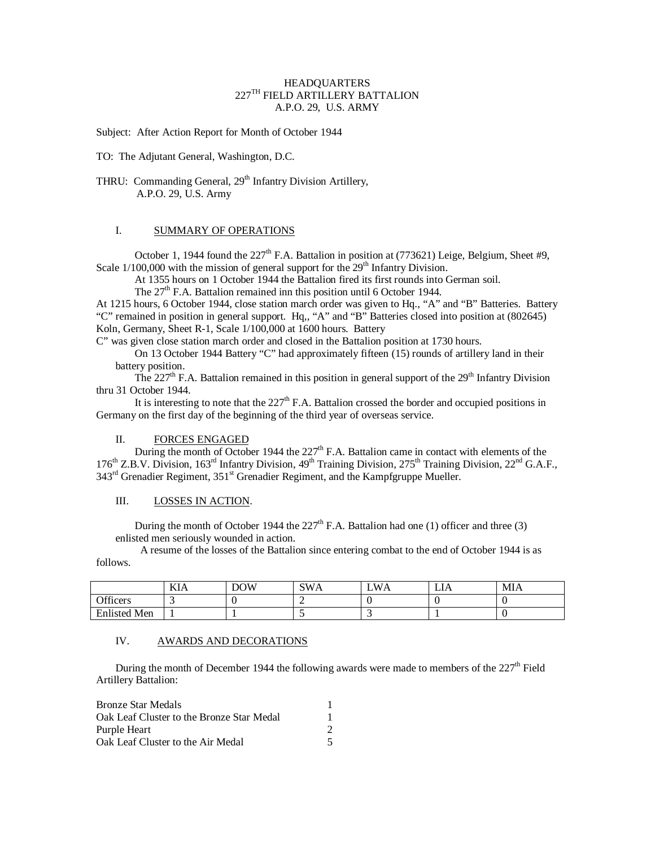#### HEADQUARTERS 227TH FIELD ARTILLERY BATTALION A.P.O. 29, U.S. ARMY

Subject: After Action Report for Month of October 1944

TO: The Adjutant General, Washington, D.C.

THRU: Commanding General, 29<sup>th</sup> Infantry Division Artillery, A.P.O. 29, U.S. Army

## I. SUMMARY OF OPERATIONS

October 1, 1944 found the 227<sup>th</sup> F.A. Battalion in position at (773621) Leige, Belgium, Sheet #9, Scale  $1/100,000$  with the mission of general support for the  $29<sup>th</sup>$  Infantry Division.

At 1355 hours on 1 October 1944 the Battalion fired its first rounds into German soil.

The  $27<sup>th</sup>$  F.A. Battalion remained inn this position until 6 October 1944.

At 1215 hours, 6 October 1944, close station march order was given to Hq., "A" and "B" Batteries. Battery "C" remained in position in general support. Hq,, "A" and "B" Batteries closed into position at (802645) Koln, Germany, Sheet R-1, Scale 1/100,000 at 1600 hours. Battery

C" was given close station march order and closed in the Battalion position at 1730 hours.

On 13 October 1944 Battery "C" had approximately fifteen (15) rounds of artillery land in their battery position.

The 227<sup>th</sup> F.A. Battalion remained in this position in general support of the 29<sup>th</sup> Infantry Division thru 31 October 1944.

It is interesting to note that the  $227<sup>th</sup>$  F.A. Battalion crossed the border and occupied positions in Germany on the first day of the beginning of the third year of overseas service.

### II. FORCES ENGAGED

During the month of October 1944 the  $227<sup>th</sup>$  F.A. Battalion came in contact with elements of the 176<sup>th</sup> Z.B.V. Division, 163<sup>rd</sup> Infantry Division, 49<sup>th</sup> Training Division, 275<sup>th</sup> Training Division, 22<sup>nd</sup> G.A.F., 343<sup>rd</sup> Grenadier Regiment, 351<sup>st</sup> Grenadier Regiment, and the Kampfgruppe Mueller.

#### III. LOSSES IN ACTION.

During the month of October 1944 the  $227<sup>th</sup>$  F.A. Battalion had one (1) officer and three (3) enlisted men seriously wounded in action.

 A resume of the losses of the Battalion since entering combat to the end of October 1944 is as follows.

|                                          | ГZТ.<br>KIA | <b>DOW</b> | SW/<br>∼<br>.<br>້ | .W<br>Ά | LIA | <b>MIA</b> |
|------------------------------------------|-------------|------------|--------------------|---------|-----|------------|
| $\alpha$ cc<br>Officers                  |             |            |                    |         |     |            |
| $T^*$ 1.<br><sup>4</sup> Men<br>Enlisted |             |            |                    | ຼ       |     |            |

## IV. AWARDS AND DECORATIONS

During the month of December 1944 the following awards were made to members of the 227<sup>th</sup> Field Artillery Battalion:

| Bronze Star Medals                        |  |
|-------------------------------------------|--|
| Oak Leaf Cluster to the Bronze Star Medal |  |
| Purple Heart                              |  |
| Oak Leaf Cluster to the Air Medal         |  |